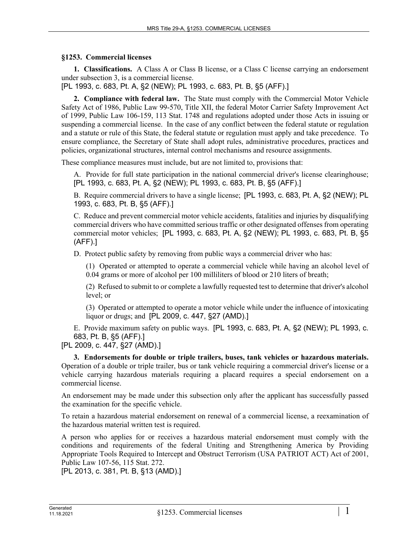## **§1253. Commercial licenses**

**1. Classifications.** A Class A or Class B license, or a Class C license carrying an endorsement under subsection 3, is a commercial license.

[PL 1993, c. 683, Pt. A, §2 (NEW); PL 1993, c. 683, Pt. B, §5 (AFF).]

**2. Compliance with federal law.** The State must comply with the Commercial Motor Vehicle Safety Act of 1986, Public Law 99-570, Title XII, the federal Motor Carrier Safety Improvement Act of 1999, Public Law 106-159, 113 Stat. 1748 and regulations adopted under those Acts in issuing or suspending a commercial license. In the case of any conflict between the federal statute or regulation and a statute or rule of this State, the federal statute or regulation must apply and take precedence. To ensure compliance, the Secretary of State shall adopt rules, administrative procedures, practices and policies, organizational structures, internal control mechanisms and resource assignments.

These compliance measures must include, but are not limited to, provisions that:

A. Provide for full state participation in the national commercial driver's license clearinghouse; [PL 1993, c. 683, Pt. A, §2 (NEW); PL 1993, c. 683, Pt. B, §5 (AFF).]

B. Require commercial drivers to have a single license; [PL 1993, c. 683, Pt. A, §2 (NEW); PL 1993, c. 683, Pt. B, §5 (AFF).]

C. Reduce and prevent commercial motor vehicle accidents, fatalities and injuries by disqualifying commercial drivers who have committed serious traffic or other designated offenses from operating commercial motor vehicles; [PL 1993, c. 683, Pt. A, §2 (NEW); PL 1993, c. 683, Pt. B, §5 (AFF).]

D. Protect public safety by removing from public ways a commercial driver who has:

(1) Operated or attempted to operate a commercial vehicle while having an alcohol level of 0.04 grams or more of alcohol per 100 milliliters of blood or 210 liters of breath;

(2) Refused to submit to or complete a lawfully requested test to determine that driver's alcohol level; or

(3) Operated or attempted to operate a motor vehicle while under the influence of intoxicating liquor or drugs; and [PL 2009, c. 447, §27 (AMD).]

E. Provide maximum safety on public ways. [PL 1993, c. 683, Pt. A, §2 (NEW); PL 1993, c. 683, Pt. B, §5 (AFF).]

[PL 2009, c. 447, §27 (AMD).]

**3. Endorsements for double or triple trailers, buses, tank vehicles or hazardous materials.**  Operation of a double or triple trailer, bus or tank vehicle requiring a commercial driver's license or a vehicle carrying hazardous materials requiring a placard requires a special endorsement on a commercial license.

An endorsement may be made under this subsection only after the applicant has successfully passed the examination for the specific vehicle.

To retain a hazardous material endorsement on renewal of a commercial license, a reexamination of the hazardous material written test is required.

A person who applies for or receives a hazardous material endorsement must comply with the conditions and requirements of the federal Uniting and Strengthening America by Providing Appropriate Tools Required to Intercept and Obstruct Terrorism (USA PATRIOT ACT) Act of 2001, Public Law 107-56, 115 Stat. 272.

[PL 2013, c. 381, Pt. B, §13 (AMD).]